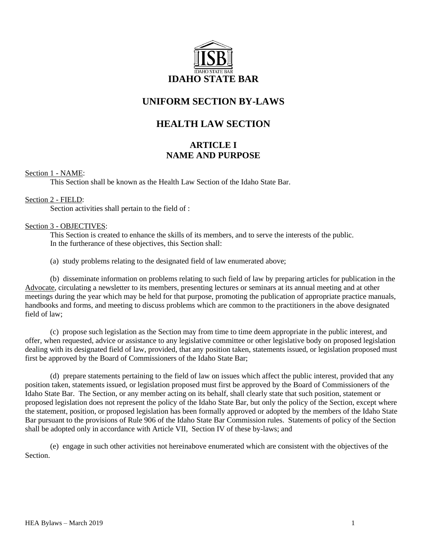

# **UNIFORM SECTION BY-LAWS**

# **HEALTH LAW SECTION**

## **ARTICLE I NAME AND PURPOSE**

## Section 1 - NAME:

This Section shall be known as the Health Law Section of the Idaho State Bar.

## Section 2 - FIELD:

Section activities shall pertain to the field of :

## Section 3 - OBJECTIVES:

This Section is created to enhance the skills of its members, and to serve the interests of the public. In the furtherance of these objectives, this Section shall:

(a) study problems relating to the designated field of law enumerated above;

(b) disseminate information on problems relating to such field of law by preparing articles for publication in the Advocate, circulating a newsletter to its members, presenting lectures or seminars at its annual meeting and at other meetings during the year which may be held for that purpose, promoting the publication of appropriate practice manuals, handbooks and forms, and meeting to discuss problems which are common to the practitioners in the above designated field of law;

(c) propose such legislation as the Section may from time to time deem appropriate in the public interest, and offer, when requested, advice or assistance to any legislative committee or other legislative body on proposed legislation dealing with its designated field of law, provided, that any position taken, statements issued, or legislation proposed must first be approved by the Board of Commissioners of the Idaho State Bar;

(d) prepare statements pertaining to the field of law on issues which affect the public interest, provided that any position taken, statements issued, or legislation proposed must first be approved by the Board of Commissioners of the Idaho State Bar. The Section, or any member acting on its behalf, shall clearly state that such position, statement or proposed legislation does not represent the policy of the Idaho State Bar, but only the policy of the Section, except where the statement, position, or proposed legislation has been formally approved or adopted by the members of the Idaho State Bar pursuant to the provisions of Rule 906 of the Idaho State Bar Commission rules. Statements of policy of the Section shall be adopted only in accordance with Article VII, Section IV of these by-laws; and

(e) engage in such other activities not hereinabove enumerated which are consistent with the objectives of the Section.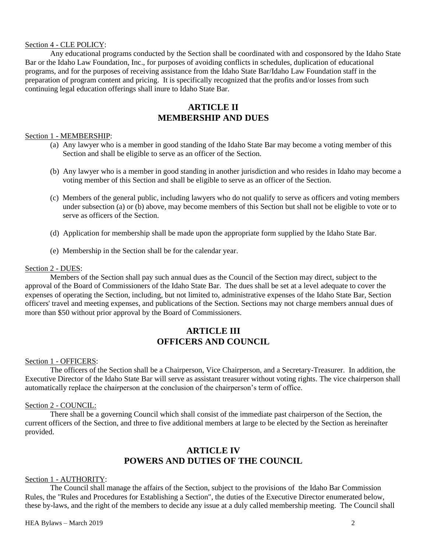## Section 4 - CLE POLICY:

Any educational programs conducted by the Section shall be coordinated with and cosponsored by the Idaho State Bar or the Idaho Law Foundation, Inc., for purposes of avoiding conflicts in schedules, duplication of educational programs, and for the purposes of receiving assistance from the Idaho State Bar/Idaho Law Foundation staff in the preparation of program content and pricing. It is specifically recognized that the profits and/or losses from such continuing legal education offerings shall inure to Idaho State Bar.

## **ARTICLE II MEMBERSHIP AND DUES**

### Section 1 - MEMBERSHIP:

- (a) Any lawyer who is a member in good standing of the Idaho State Bar may become a voting member of this Section and shall be eligible to serve as an officer of the Section.
- (b) Any lawyer who is a member in good standing in another jurisdiction and who resides in Idaho may become a voting member of this Section and shall be eligible to serve as an officer of the Section.
- (c) Members of the general public, including lawyers who do not qualify to serve as officers and voting members under subsection (a) or (b) above, may become members of this Section but shall not be eligible to vote or to serve as officers of the Section.
- (d) Application for membership shall be made upon the appropriate form supplied by the Idaho State Bar.
- (e) Membership in the Section shall be for the calendar year.

### Section 2 - DUES:

Members of the Section shall pay such annual dues as the Council of the Section may direct, subject to the approval of the Board of Commissioners of the Idaho State Bar. The dues shall be set at a level adequate to cover the expenses of operating the Section, including, but not limited to, administrative expenses of the Idaho State Bar, Section officers' travel and meeting expenses, and publications of the Section. Sections may not charge members annual dues of more than \$50 without prior approval by the Board of Commissioners.

## **ARTICLE III OFFICERS AND COUNCIL**

#### Section 1 - OFFICERS:

The officers of the Section shall be a Chairperson, Vice Chairperson, and a Secretary-Treasurer. In addition, the Executive Director of the Idaho State Bar will serve as assistant treasurer without voting rights. The vice chairperson shall automatically replace the chairperson at the conclusion of the chairperson's term of office.

#### Section 2 - COUNCIL:

There shall be a governing Council which shall consist of the immediate past chairperson of the Section, the current officers of the Section, and three to five additional members at large to be elected by the Section as hereinafter provided.

## **ARTICLE IV POWERS AND DUTIES OF THE COUNCIL**

## Section 1 - AUTHORITY:

The Council shall manage the affairs of the Section, subject to the provisions of the Idaho Bar Commission Rules, the "Rules and Procedures for Establishing a Section", the duties of the Executive Director enumerated below, these by-laws, and the right of the members to decide any issue at a duly called membership meeting. The Council shall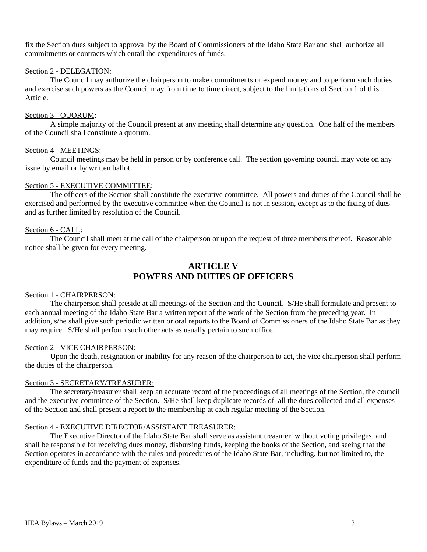fix the Section dues subject to approval by the Board of Commissioners of the Idaho State Bar and shall authorize all commitments or contracts which entail the expenditures of funds.

## Section 2 - DELEGATION:

The Council may authorize the chairperson to make commitments or expend money and to perform such duties and exercise such powers as the Council may from time to time direct, subject to the limitations of Section 1 of this Article.

## Section 3 - QUORUM:

A simple majority of the Council present at any meeting shall determine any question. One half of the members of the Council shall constitute a quorum.

### Section 4 - MEETINGS:

Council meetings may be held in person or by conference call. The section governing council may vote on any issue by email or by written ballot.

### Section 5 - EXECUTIVE COMMITTEE:

The officers of the Section shall constitute the executive committee. All powers and duties of the Council shall be exercised and performed by the executive committee when the Council is not in session, except as to the fixing of dues and as further limited by resolution of the Council.

### Section 6 - CALL:

The Council shall meet at the call of the chairperson or upon the request of three members thereof. Reasonable notice shall be given for every meeting.

## **ARTICLE V POWERS AND DUTIES OF OFFICERS**

#### Section 1 - CHAIRPERSON:

The chairperson shall preside at all meetings of the Section and the Council. S/He shall formulate and present to each annual meeting of the Idaho State Bar a written report of the work of the Section from the preceding year. In addition, s/he shall give such periodic written or oral reports to the Board of Commissioners of the Idaho State Bar as they may require. S/He shall perform such other acts as usually pertain to such office.

#### Section 2 - VICE CHAIRPERSON:

Upon the death, resignation or inability for any reason of the chairperson to act, the vice chairperson shall perform the duties of the chairperson.

### Section 3 - SECRETARY/TREASURER:

The secretary/treasurer shall keep an accurate record of the proceedings of all meetings of the Section, the council and the executive committee of the Section. S/He shall keep duplicate records of all the dues collected and all expenses of the Section and shall present a report to the membership at each regular meeting of the Section.

## Section 4 - EXECUTIVE DIRECTOR/ASSISTANT TREASURER:

The Executive Director of the Idaho State Bar shall serve as assistant treasurer, without voting privileges, and shall be responsible for receiving dues money, disbursing funds, keeping the books of the Section, and seeing that the Section operates in accordance with the rules and procedures of the Idaho State Bar, including, but not limited to, the expenditure of funds and the payment of expenses.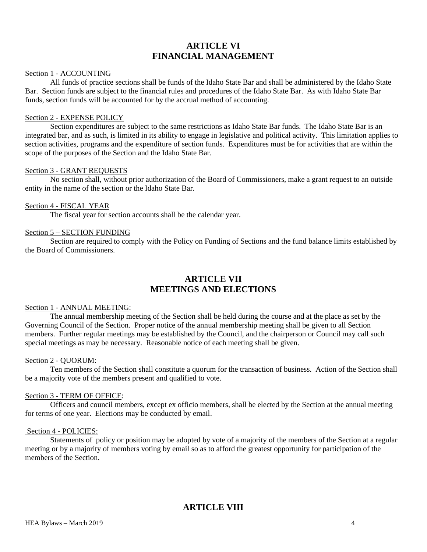## **ARTICLE VI FINANCIAL MANAGEMENT**

#### Section 1 - ACCOUNTING

All funds of practice sections shall be funds of the Idaho State Bar and shall be administered by the Idaho State Bar. Section funds are subject to the financial rules and procedures of the Idaho State Bar. As with Idaho State Bar funds, section funds will be accounted for by the accrual method of accounting.

#### Section 2 - EXPENSE POLICY

Section expenditures are subject to the same restrictions as Idaho State Bar funds. The Idaho State Bar is an integrated bar, and as such, is limited in its ability to engage in legislative and political activity. This limitation applies to section activities, programs and the expenditure of section funds. Expenditures must be for activities that are within the scope of the purposes of the Section and the Idaho State Bar.

#### Section 3 - GRANT REQUESTS

No section shall, without prior authorization of the Board of Commissioners, make a grant request to an outside entity in the name of the section or the Idaho State Bar.

#### Section 4 - FISCAL YEAR

The fiscal year for section accounts shall be the calendar year.

#### Section 5 – SECTION FUNDING

Section are required to comply with the Policy on Funding of Sections and the fund balance limits established by the Board of Commissioners.

## **ARTICLE VII MEETINGS AND ELECTIONS**

#### Section 1 - ANNUAL MEETING:

The annual membership meeting of the Section shall be held during the course and at the place as set by the Governing Council of the Section. Proper notice of the annual membership meeting shall be given to all Section members. Further regular meetings may be established by the Council, and the chairperson or Council may call such special meetings as may be necessary. Reasonable notice of each meeting shall be given.

#### Section 2 - QUORUM:

Ten members of the Section shall constitute a quorum for the transaction of business. Action of the Section shall be a majority vote of the members present and qualified to vote.

#### Section 3 - TERM OF OFFICE:

Officers and council members, except ex officio members, shall be elected by the Section at the annual meeting for terms of one year. Elections may be conducted by email.

## Section 4 - POLICIES:

Statements of policy or position may be adopted by vote of a majority of the members of the Section at a regular meeting or by a majority of members voting by email so as to afford the greatest opportunity for participation of the members of the Section.

## **ARTICLE VIII**